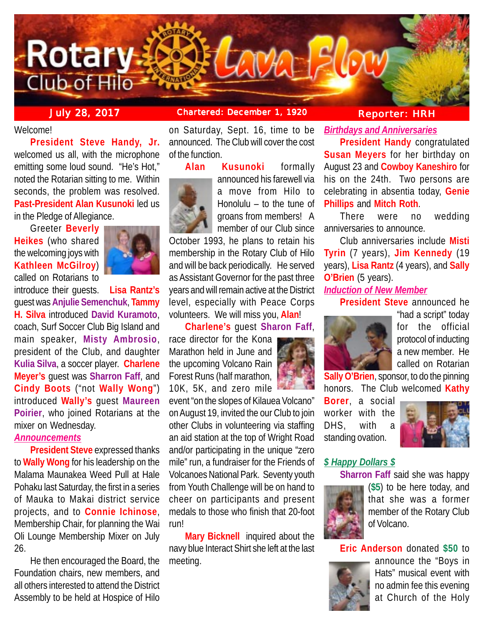

# **July 28, 2017 Chartered: December 1, 1920 Reporter: HRH**

Welcome!

**President Steve Handy, Jr.** welcomed us all, with the microphone emitting some loud sound. "He's Hot," noted the Rotarian sitting to me. Within seconds, the problem was resolved. **Past-President Alan Kusunoki** led us in the Pledge of Allegiance.

Greeter **Beverly Heikes** (who shared the welcoming joys with **Kathleen McGilroy**) called on Rotarians to



introduce their guests. **Lisa Rantz's**

guest was **Anjulie Semenchuk**, **Tammy H. Silva** introduced **David Kuramoto**, coach, Surf Soccer Club Big Island and main speaker, **Misty Ambrosio**, president of the Club, and daughter **Kulia Silva**, a soccer player. **Charlene Meyer's** guest was **Sharron Faff**, and **Cindy Boots** ("not **Wally Wong**") introduced **Wally's** guest **Maureen Poirier**, who joined Rotarians at the mixer on Wednesday.

## *Announcements*

**President Steve** expressed thanks to **Wally Wong** for his leadership on the Malama Maunakea Weed Pull at Hale Pohaku last Saturday, the first in a series of Mauka to Makai district service projects, and to **Connie Ichinose**, Membership Chair, for planning the Wai Oli Lounge Membership Mixer on July 26.

He then encouraged the Board, the Foundation chairs, new members, and all others interested to attend the District Assembly to be held at Hospice of Hilo

on Saturday, Sept. 16, time to be announced. The Club will cover the cost of the function.



**Alan Kusunoki** formally announced his farewell via a move from Hilo to Honolulu – to the tune of

groans from members! A member of our Club since October 1993, he plans to retain his

membership in the Rotary Club of Hilo and will be back periodically. He served as Assistant Governor for the past three years and will remain active at the District level, especially with Peace Corps volunteers. We will miss you, **Alan**!

## **Charlene's** guest **Sharon Faff**,

race director for the Kona Marathon held in June and the upcoming Volcano Rain Forest Runs (half marathon, 10K, 5K, and zero mile

event "on the slopes of Kilauea Volcano" on August 19, invited the our Club to join other Clubs in volunteering via staffing an aid station at the top of Wright Road and/or participating in the unique "zero mile" run, a fundraiser for the Friends of Volcanoes National Park. Seventy youth from Youth Challenge will be on hand to cheer on participants and present medals to those who finish that 20-foot run!

**Mary Bicknell** inquired about the navy blue Interact Shirt she left at the last meeting.

*Birthdays and Anniversaries*

**President Handy** congratulated **Susan Meyers** for her birthday on August 23 and **Cowboy Kaneshiro** for his on the 24th. Two persons are celebrating in absentia today, **Genie Phillips** and **Mitch Roth**.

There were no wedding anniversaries to announce.

Club anniversaries include **Misti Tyrin** (7 years), **Jim Kennedy** (19 years), **Lisa Rantz** (4 years), and **Sally O'Brien** (5 years).

# *Induction of New Member*

**President Steve** announced he



"had a script" today for the official protocol of inducting a new member. He called on Rotarian

**Sally O'Brien**, sponsor, to do the pinning honors. The Club welcomed **Kathy**

**Borer**, a social worker with the DHS, with a standing ovation.



## *\$ Happy Dollars \$*

**Sharron Faff** said she was happy



(**\$5**) to be here today, and that she was a former member of the Rotary Club of Volcano.

**Eric Anderson** donated **\$50** to



announce the "Boys in Hats" musical event with no admin fee this evening at Church of the Holy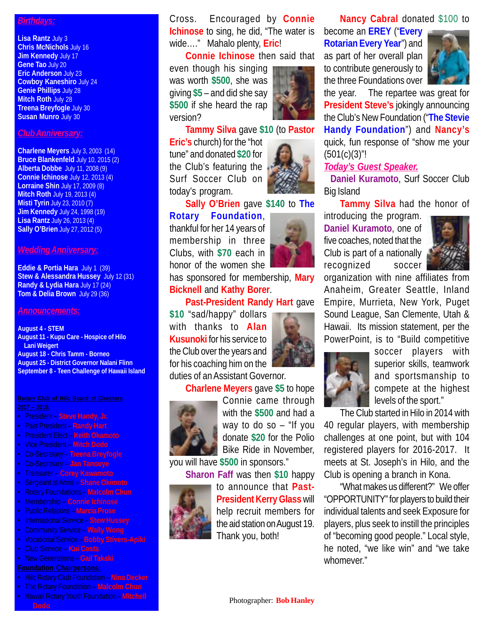## *Birthdays:*

**Lisa Rantz** July 3 **Chris McNichols** July 16 **Jim Kennedy July 17 Gene Tao** July 20 **Eric Anderson** July 23 **Cowboy Kaneshiro** July 24 **Genie Phillips** July 28 **Mitch Roth** July 28 **Treena Breyfogle** July 30 **Susan Munro** July 30

### *Club Anniversary:*

**Charlene Meyers** July 3, 2003 (14) **Bruce Blankenfeld** July 10, 2015 (2) **Alberta Dobbe** July 11, 2008 (9) **Connie Ichinose** July 12, 2013 (4) **Lorraine Shin** July 17, 2009 (8) **Mitch Roth** July 19, 2013 (4) **Misti Tyrin** July 23, 2010 (7) **Jim Kennedy** July 24, 1998 (19) **Lisa Rantz** July 26, 2013 (4) **Sally O'Brien** July 27, 2012 (5)

### *Wedding Anniversary:*

**Eddie & Portia Hara** July 1 (39) **Stew & Alessandra Hussey** July 12 (31) **Randy & Lydia Hara** July 17 (24) **Tom & Delia Brown** July 29 (36)

### *Announcements:*

**August 4 - STEM August 11 - Kupu Care - Hospice of Hilo Lani Weigert August 18 - Chris Tamm - Borneo August 25 - District Governor Nalani Flinn September 8 - Teen Challenge of Hawaii Island**

- President **Steve Handy, Jr.**
- Past President **Randy Hart**
- President Elect **Keith Okamoto**
- Vice President **Mitch Dodo**
- Co-Secretary **Treena Breyfogle**
- Co-Secretary **Jan Tanouye**
- Treasurer **Corey Kawamoto**
- Sergeant at Arms **Shane Okimoto**
- Rotary Foundations **Malcolm Chun**
- Membership **Connie Ichinose**
- Public Relations **Marcia Prose**
- International Service **Stew Hussey**
- Community Service **Wally Wong**
- Vocational Service **Bobby Stivers-Apiki**
- Club Service **Kui Costa**
- New Generations **Gail Takaki**

## **Foundation Chairpersons:**

- Hilo Rotary Club Foundation **Nina Decker**
- The Rotary Foundation **Malcolm Chun**
- Hawaii Rotary Youth Foundation **Mitchell Dodo**

Cross. Encouraged by **Connie Ichinose** to sing, he did, "The water is wide…." Mahalo plenty, **Eric**!

**Connie Ichinose** then said that

even though his singing was worth **\$500**, she was giving **\$5** – and did she say **\$500** if she heard the rap version?



**Tammy Silva** gave **\$10** (to **Pastor**

**Eric's** church) for the "hot tune" and donated **\$20** for the Club's featuring the Surf Soccer Club on today's program.



**Sally O'Brien** gave **\$140** to **The Rotary Foundation**,

thankful for her 14 years of membership in three Clubs, with **\$70** each in honor of the women she

has sponsored for membership, **Mary Bicknell** and **Kathy Borer**.

**Past-President Randy Hart** gave

**\$10** "sad/happy" dollars with thanks to **Alan Kusunoki** for his service to the Club over the years and for his coaching him on the duties of an Assistant Governor.

**Charlene Meyers** gave **\$5** to hope



Connie came through with the **\$500** and had a way to do so – "If you donate **\$20** for the Polio Bike Ride in November,

you will have **\$500** in sponsors."

**Sharon Faff** was then **\$10** happy



to announce that **Past-President Kerry Glass** will help recruit members for the aid station on August 19. Thank you, both!

**Nancy Cabral** donated \$100 to

become an **EREY** ("**Every Rotarian Every Year**") and as part of her overall plan to contribute generously to the three Foundations over



the year. The repartee was great for **President Steve's** jokingly announcing the Club's New Foundation ("**The Stevie Handy Foundation**") and **Nancy's** quick, fun response of "show me your  $(501(c)(3)$ "!

## *Today's Guest Speaker.*

 **Daniel Kuramoto**, Surf Soccer Club Big Island

**Tammy Silva** had the honor of

introducing the program. **Daniel Kuramoto**, one of five coaches, noted that the Club is part of a nationally recognized soccer



organization with nine affiliates from Anaheim, Greater Seattle, Inland Empire, Murrieta, New York, Puget Sound League, San Clemente, Utah & Hawaii. Its mission statement, per the PowerPoint, is to "Build competitive



soccer players with superior skills, teamwork and sportsmanship to compete at the highest levels of the sport."

The Club started in Hilo in 2014 with

40 regular players, with membership challenges at one point, but with 104 registered players for 2016-2017. It meets at St. Joseph's in Hilo, and the Club is opening a branch in Kona.

"What makes us different?" We offer "OPPORTUNITY" for players to build their individual talents and seek Exposure for players, plus seek to instill the principles of "becoming good people." Local style, he noted, "we like win" and "we take whomever."